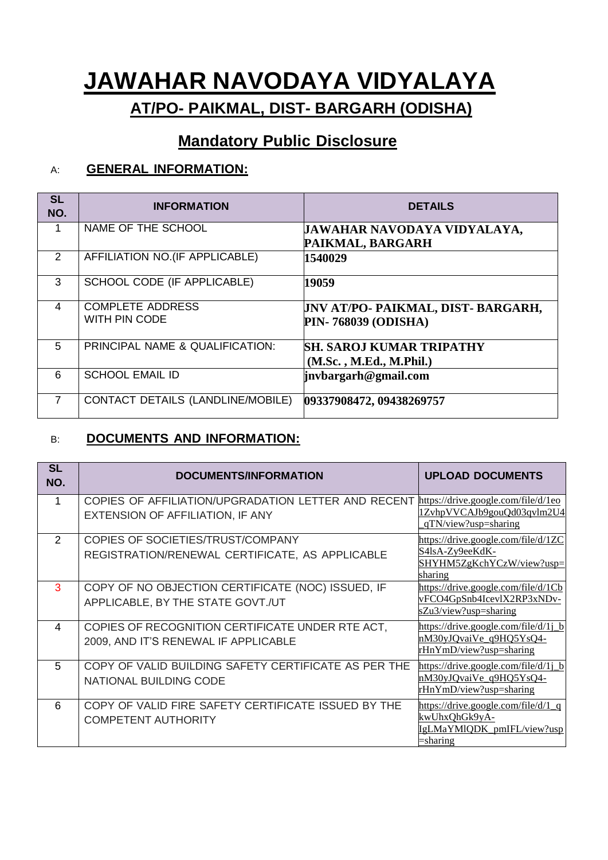# **JAWAHAR NAVODAYA VIDYALAYA AT/PO- PAIKMAL, DIST- BARGARH (ODISHA)**

## **Mandatory Public Disclosure**

### A: **GENERAL INFORMATION:**

| <b>SL</b><br>NO. | <b>INFORMATION</b>                       | <b>DETAILS</b>                                                          |
|------------------|------------------------------------------|-------------------------------------------------------------------------|
|                  | NAME OF THE SCHOOL                       | JAWAHAR NAVODAYA VIDYALAYA,<br>PAIKMAL, BARGARH                         |
| 2                | AFFILIATION NO.(IF APPLICABLE)           | 1540029                                                                 |
| 3                | SCHOOL CODE (IF APPLICABLE)              | 19059                                                                   |
| $\overline{4}$   | <b>COMPLETE ADDRESS</b><br>WITH PIN CODE | <b>JNV AT/PO- PAIKMAL, DIST- BARGARH,</b><br><b>PIN-768039 (ODISHA)</b> |
| 5                | PRINCIPAL NAME & QUALIFICATION:          | <b>SH. SAROJ KUMAR TRIPATHY</b><br>(M.Sc. , M.Ed., M.Phil.)             |
| 6                | <b>SCHOOL EMAIL ID</b>                   | jnvbargarh@gmail.com                                                    |
|                  | CONTACT DETAILS (LANDLINE/MOBILE)        | 09337908472, 09438269757                                                |

#### B: **DOCUMENTS AND INFORMATION:**

| <b>SL</b><br>NO. | <b>DOCUMENTS/INFORMATION</b>                                                             | <b>UPLOAD DOCUMENTS</b>                                                                                  |
|------------------|------------------------------------------------------------------------------------------|----------------------------------------------------------------------------------------------------------|
|                  | COPIES OF AFFILIATION/UPGRADATION LETTER AND RECENT<br>EXTENSION OF AFFILIATION, IF ANY  | https://drive.google.com/file/d/1eo<br>1ZvhpVVCAJb9gouQd03qvlm2U4<br>qTN/view?usp=sharing                |
| $\mathcal{P}$    | COPIES OF SOCIETIES/TRUST/COMPANY<br>REGISTRATION/RENEWAL CERTIFICATE, AS APPLICABLE     | https://drive.google.com/file/d/1ZC<br>S4lsA-Zy9eeKdK-<br>SHYHM5ZgKchYCzW/view?usp=<br>sharing           |
| 3                | COPY OF NO OBJECTION CERTIFICATE (NOC) ISSUED, IF<br>APPLICABLE, BY THE STATE GOVT./UT   | https://drive.google.com/file/d/1Cb<br>vFCO4GpSnb4IcevlX2RP3xNDv-<br>sZu3/view?usp=sharing               |
| 4                | COPIES OF RECOGNITION CERTIFICATE UNDER RTE ACT,<br>2009, AND IT'S RENEWAL IF APPLICABLE | $\frac{h}{t}$ https://drive.google.com/file/d/1j_b<br>nM30yJQvaiVe_q9HQ5YsQ4-<br>rHnYmD/view?usp=sharing |
| 5                | COPY OF VALID BUILDING SAFETY CERTIFICATE AS PER THE<br>NATIONAL BUILDING CODE           | https://drive.google.com/file/d/1j_b<br>nM30yJQvaiVe q9HQ5YsQ4-<br>rHnYmD/view?usp=sharing               |
| 6                | COPY OF VALID FIRE SAFETY CERTIFICATE ISSUED BY THE<br><b>COMPETENT AUTHORITY</b>        | $\frac{https://drive.google.com/file/d/1q}{$<br>kwUhxQhGk9yA-<br>IgLMaYMlQDK_pmIFL/view?usp<br>sharing   |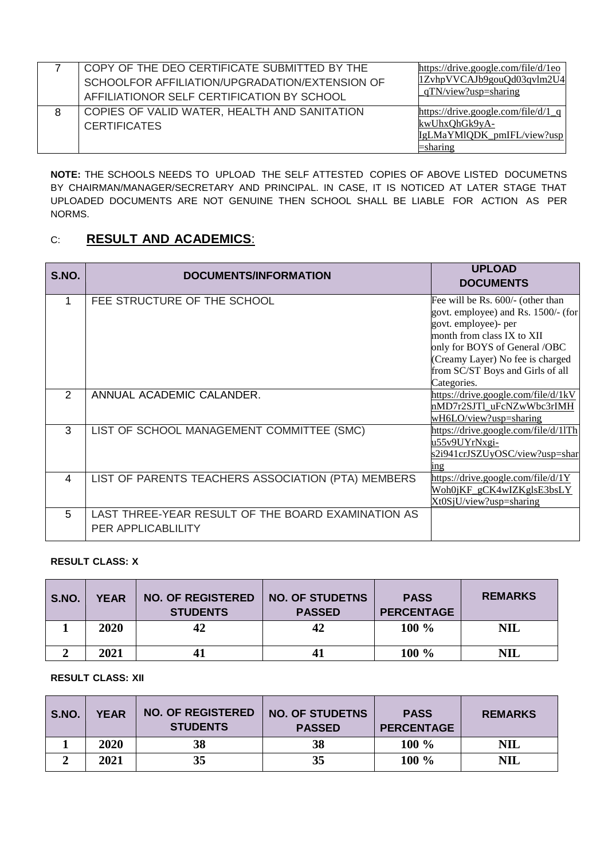|   | COPY OF THE DEO CERTIFICATE SUBMITTED BY THE<br>SCHOOLFOR AFFILIATION/UPGRADATION/EXTENSION OF<br>AFFILIATIONOR SELF CERTIFICATION BY SCHOOL | https://drive.google.com/file/d/1eo<br>1ZvhpVVCAJb9gouQd03qvlm2U4<br>qTN/view?usp=sharing      |
|---|----------------------------------------------------------------------------------------------------------------------------------------------|------------------------------------------------------------------------------------------------|
| 8 | COPIES OF VALID WATER, HEALTH AND SANITATION<br><b>CERTIFICATES</b>                                                                          | https://drive.google.com/file/d/1 q<br>kwUhxQhGk9yA-<br>IgLMaYMlQDK_pmIFL/view?usp<br>=sharing |

**NOTE:** THE SCHOOLS NEEDS TO UPLOAD THE SELF ATTESTED COPIES OF ABOVE LISTED DOCUMETNS BY CHAIRMAN/MANAGER/SECRETARY AND PRINCIPAL. IN CASE, IT IS NOTICED AT LATER STAGE THAT UPLOADED DOCUMENTS ARE NOT GENUINE THEN SCHOOL SHALL BE LIABLE FOR ACTION AS PER NORMS.

#### C: **RESULT AND ACADEMICS**:

| S.NO.         | DOCUMENTS/INFORMATION                                                    | <b>UPLOAD</b><br><b>DOCUMENTS</b>                                                                                                                                                                                                       |
|---------------|--------------------------------------------------------------------------|-----------------------------------------------------------------------------------------------------------------------------------------------------------------------------------------------------------------------------------------|
|               | FEE STRUCTURE OF THE SCHOOL                                              | Fee will be Rs. 600/- (other than<br>govt. employee) and Rs. 1500/- (for<br>govt. employee)- per<br>month from class IX to XII<br>only for BOYS of General /OBC<br>(Creamy Layer) No fee is charged<br>from SC/ST Boys and Girls of all |
| $\mathcal{P}$ | ANNUAL ACADEMIC CALANDER.                                                | Categories.<br>https://drive.google.com/file/d/1kV<br>nMD7r2SJT1 uFcNZwWbc3rIMH<br>wH6LO/view?usp=sharing                                                                                                                               |
| 3             | LIST OF SCHOOL MANAGEMENT COMMITTEE (SMC)                                | https://drive.google.com/file/d/11Th<br>u55v9UYrNxgi-<br>s2i941crJSZUyOSC/view?usp=shar<br>ing                                                                                                                                          |
| 4             | LIST OF PARENTS TEACHERS ASSOCIATION (PTA) MEMBERS                       | https://drive.google.com/file/d/1Y<br>Woh0jKF_gCK4wIZKglsE3bsLY<br>Xt0SjU/view?usp=sharing                                                                                                                                              |
| 5             | LAST THREE-YEAR RESULT OF THE BOARD EXAMINATION AS<br>PER APPLICABLILITY |                                                                                                                                                                                                                                         |

#### **RESULT CLASS: X**

| <b>S.NO.</b> | <b>YEAR</b> | <b>NO. OF REGISTERED</b><br><b>STUDENTS</b> | <b>NO. OF STUDETNS</b><br><b>PASSED</b> | <b>PASS</b><br><b>PERCENTAGE</b> | <b>REMARKS</b> |
|--------------|-------------|---------------------------------------------|-----------------------------------------|----------------------------------|----------------|
|              | 2020        | 42                                          | 42                                      | 100 %                            | NIL            |
|              | 2021        | 41                                          |                                         | 100 %                            | NIL            |

**RESULT CLASS: XII**

| S.NO. | <b>YEAR</b> | <b>NO. OF REGISTERED</b><br><b>STUDENTS</b> | <b>NO. OF STUDETNS</b><br><b>PASSED</b> | <b>PASS</b><br><b>PERCENTAGE</b> | <b>REMARKS</b> |
|-------|-------------|---------------------------------------------|-----------------------------------------|----------------------------------|----------------|
|       | 2020        | 38                                          | 38                                      | 100 %                            | NIL            |
|       | 2021        | 35                                          | 35                                      | 100 %                            | <b>NIL</b>     |